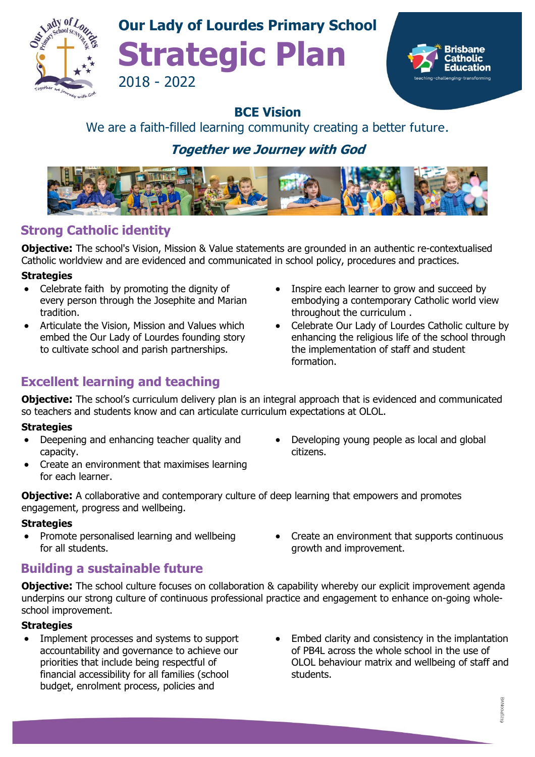

## **Our Lady of Lourdes Primary School Strategic Plan** 2018 - 2022



#### **BCE Vision**

#### We are a faith-filled learning community creating a better future.

## **Together we Journey with God**



## **Strong Catholic identity**

**Objective:** The school's Vision, Mission & Value statements are grounded in an authentic re-contextualised Catholic worldview and are evidenced and communicated in school policy, procedures and practices.

#### **Strategies**

- Celebrate faith by promoting the dignity of every person through the Josephite and Marian tradition.
- Articulate the Vision, Mission and Values which embed the Our Lady of Lourdes founding story to cultivate school and parish partnerships.

## **Excellent learning and teaching**

- Inspire each learner to grow and succeed by embodying a contemporary Catholic world view throughout the curriculum .
- Celebrate Our Lady of Lourdes Catholic culture by enhancing the religious life of the school through the implementation of staff and student formation.

• Developing young people as local and global

• Create an environment that supports continuous

growth and improvement.

**Objective:** The school's curriculum delivery plan is an integral approach that is evidenced and communicated so teachers and students know and can articulate curriculum expectations at OLOL.

citizens.

#### **Strategies**

- Deepening and enhancing teacher quality and capacity.
- Create an environment that maximises learning for each learner.
- **Objective:** A collaborative and contemporary culture of deep learning that empowers and promotes engagement, progress and wellbeing.

#### **Strategies**

• Promote personalised learning and wellbeing for all students.

### **Building a sustainable future**

**Objective:** The school culture focuses on collaboration & capability whereby our explicit improvement agenda underpins our strong culture of continuous professional practice and engagement to enhance on-going wholeschool improvement.

#### **Strategies**

- Implement processes and systems to support accountability and governance to achieve our priorities that include being respectful of financial accessibility for all families (school budget, enrolment process, policies and
- Embed clarity and consistency in the implantation of PB4L across the whole school in the use of OLOL behaviour matrix and wellbeing of staff and students.